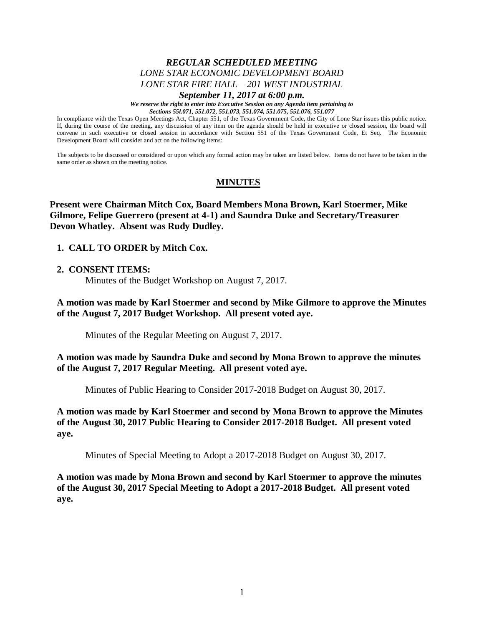# *REGULAR SCHEDULED MEETING LONE STAR ECONOMIC DEVELOPMENT BOARD LONE STAR FIRE HALL – 201 WEST INDUSTRIAL*

#### *September 11, 2017 at 6:00 p.m.*

*We reserve the right to enter into Executive Session on any Agenda item pertaining to Sections 55l.071, 551.072, 551.073, 551.074, 551.075, 551.076, 551.077*

In compliance with the Texas Open Meetings Act, Chapter 551, of the Texas Government Code, the City of Lone Star issues this public notice. If, during the course of the meeting, any discussion of any item on the agenda should be held in executive or closed session, the board will convene in such executive or closed session in accordance with Section 551 of the Texas Government Code, Et Seq. The Economic Development Board will consider and act on the following items:

The subjects to be discussed or considered or upon which any formal action may be taken are listed below. Items do not have to be taken in the same order as shown on the meeting notice.

# **MINUTES**

**Present were Chairman Mitch Cox, Board Members Mona Brown, Karl Stoermer, Mike Gilmore, Felipe Guerrero (present at 4-1) and Saundra Duke and Secretary/Treasurer Devon Whatley. Absent was Rudy Dudley.**

**1. CALL TO ORDER by Mitch Cox.**

#### **2. CONSENT ITEMS:**

Minutes of the Budget Workshop on August 7, 2017.

**A motion was made by Karl Stoermer and second by Mike Gilmore to approve the Minutes of the August 7, 2017 Budget Workshop. All present voted aye.**

Minutes of the Regular Meeting on August 7, 2017.

**A motion was made by Saundra Duke and second by Mona Brown to approve the minutes of the August 7, 2017 Regular Meeting. All present voted aye.**

Minutes of Public Hearing to Consider 2017-2018 Budget on August 30, 2017.

**A motion was made by Karl Stoermer and second by Mona Brown to approve the Minutes of the August 30, 2017 Public Hearing to Consider 2017-2018 Budget. All present voted aye.**

Minutes of Special Meeting to Adopt a 2017-2018 Budget on August 30, 2017.

**A motion was made by Mona Brown and second by Karl Stoermer to approve the minutes of the August 30, 2017 Special Meeting to Adopt a 2017-2018 Budget. All present voted aye.**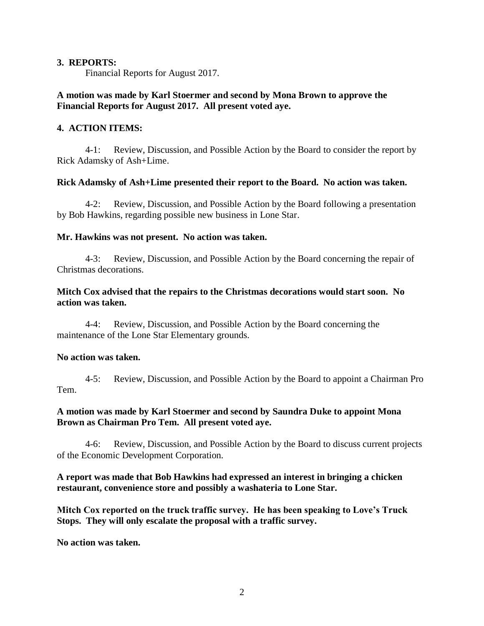### **3. REPORTS:**

Financial Reports for August 2017.

## **A motion was made by Karl Stoermer and second by Mona Brown to approve the Financial Reports for August 2017. All present voted aye.**

### **4. ACTION ITEMS:**

4-1: Review, Discussion, and Possible Action by the Board to consider the report by Rick Adamsky of Ash+Lime.

### **Rick Adamsky of Ash+Lime presented their report to the Board. No action was taken.**

4-2: Review, Discussion, and Possible Action by the Board following a presentation by Bob Hawkins, regarding possible new business in Lone Star.

### **Mr. Hawkins was not present. No action was taken.**

4-3: Review, Discussion, and Possible Action by the Board concerning the repair of Christmas decorations.

## **Mitch Cox advised that the repairs to the Christmas decorations would start soon. No action was taken.**

4-4: Review, Discussion, and Possible Action by the Board concerning the maintenance of the Lone Star Elementary grounds.

#### **No action was taken.**

4-5: Review, Discussion, and Possible Action by the Board to appoint a Chairman Pro Tem.

### **A motion was made by Karl Stoermer and second by Saundra Duke to appoint Mona Brown as Chairman Pro Tem. All present voted aye.**

4-6: Review, Discussion, and Possible Action by the Board to discuss current projects of the Economic Development Corporation.

### **A report was made that Bob Hawkins had expressed an interest in bringing a chicken restaurant, convenience store and possibly a washateria to Lone Star.**

**Mitch Cox reported on the truck traffic survey. He has been speaking to Love's Truck Stops. They will only escalate the proposal with a traffic survey.**

**No action was taken.**